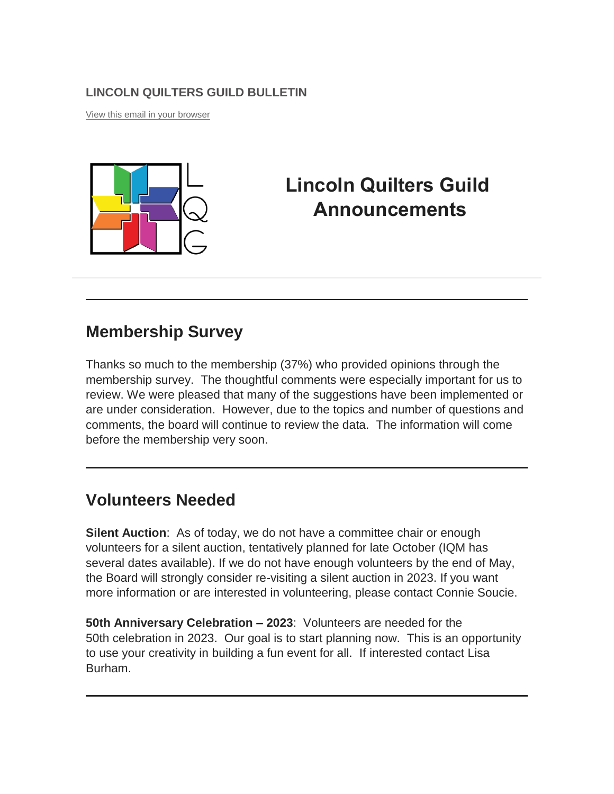#### **LINCOLN QUILTERS GUILD BULLETIN**

[View this email in your browser](https://mailchi.mp/a6f1c6bef9c1/9-8-21-announcements-6082237?e=%5bUNIQID%5d)



# **Lincoln Quilters Guild Announcements**

### **Membership Survey**

Thanks so much to the membership (37%) who provided opinions through the membership survey. The thoughtful comments were especially important for us to review. We were pleased that many of the suggestions have been implemented or are under consideration. However, due to the topics and number of questions and comments, the board will continue to review the data. The information will come before the membership very soon.

### **Volunteers Needed**

**Silent Auction**: As of today, we do not have a committee chair or enough volunteers for a silent auction, tentatively planned for late October (IQM has several dates available). If we do not have enough volunteers by the end of May, the Board will strongly consider re-visiting a silent auction in 2023. If you want more information or are interested in volunteering, please contact Connie Soucie.

**50th Anniversary Celebration – 2023**: Volunteers are needed for the 50th celebration in 2023. Our goal is to start planning now. This is an opportunity to use your creativity in building a fun event for all. If interested contact Lisa Burham.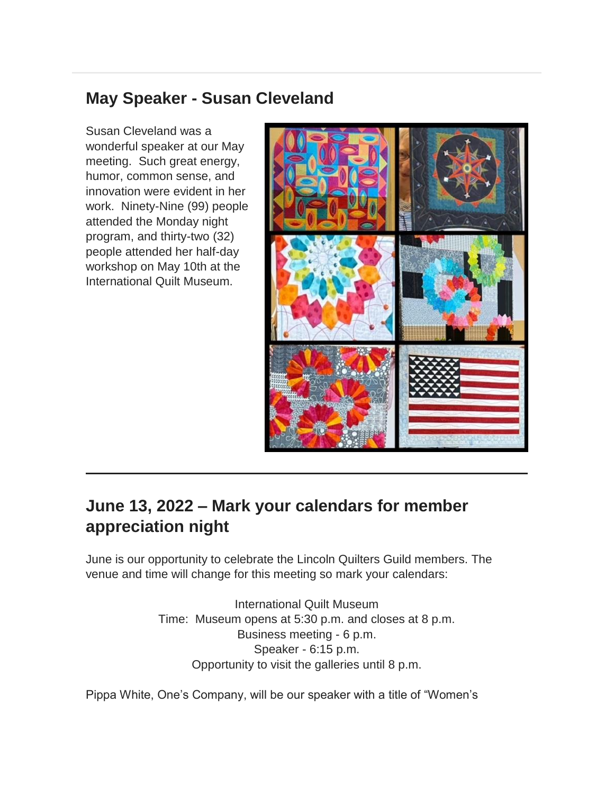## **May Speaker - Susan Cleveland**

Susan Cleveland was a wonderful speaker at our May meeting. Such great energy, humor, common sense, and innovation were evident in her work. Ninety-Nine (99) people attended the Monday night program, and thirty-two (32) people attended her half-day workshop on May 10th at the International Quilt Museum.



# **June 13, 2022 – Mark your calendars for member appreciation night**

June is our opportunity to celebrate the Lincoln Quilters Guild members. The venue and time will change for this meeting so mark your calendars:

> International Quilt Museum Time: Museum opens at 5:30 p.m. and closes at 8 p.m. Business meeting - 6 p.m. Speaker - 6:15 p.m. Opportunity to visit the galleries until 8 p.m.

Pippa White, One's Company, will be our speaker with a title of "Women's